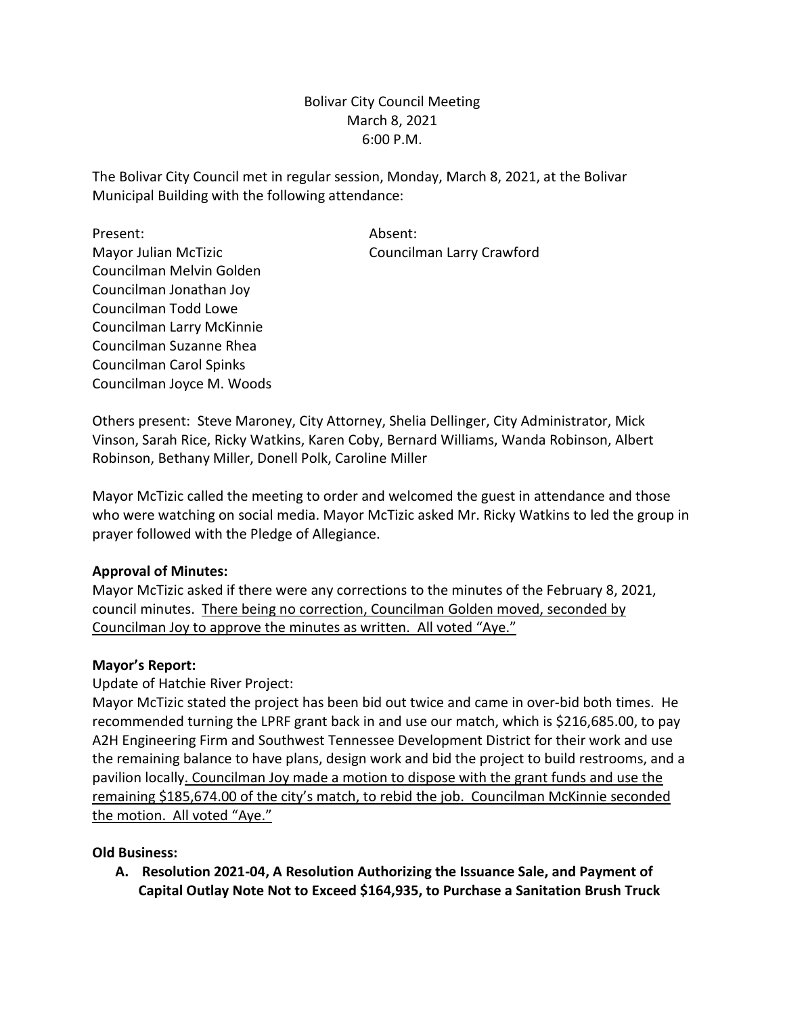Bolivar City Council Meeting March 8, 2021 6:00 P.M.

The Bolivar City Council met in regular session, Monday, March 8, 2021, at the Bolivar Municipal Building with the following attendance:

Present: Absent: Mayor Julian McTizic **Councilman Larry Crawford** Councilman Melvin Golden Councilman Jonathan Joy Councilman Todd Lowe Councilman Larry McKinnie Councilman Suzanne Rhea Councilman Carol Spinks Councilman Joyce M. Woods

Others present: Steve Maroney, City Attorney, Shelia Dellinger, City Administrator, Mick Vinson, Sarah Rice, Ricky Watkins, Karen Coby, Bernard Williams, Wanda Robinson, Albert Robinson, Bethany Miller, Donell Polk, Caroline Miller

Mayor McTizic called the meeting to order and welcomed the guest in attendance and those who were watching on social media. Mayor McTizic asked Mr. Ricky Watkins to led the group in prayer followed with the Pledge of Allegiance.

## **Approval of Minutes:**

Mayor McTizic asked if there were any corrections to the minutes of the February 8, 2021, council minutes. There being no correction, Councilman Golden moved, seconded by Councilman Joy to approve the minutes as written. All voted "Aye."

## **Mayor's Report:**

Update of Hatchie River Project:

Mayor McTizic stated the project has been bid out twice and came in over-bid both times. He recommended turning the LPRF grant back in and use our match, which is \$216,685.00, to pay A2H Engineering Firm and Southwest Tennessee Development District for their work and use the remaining balance to have plans, design work and bid the project to build restrooms, and a pavilion locally. Councilman Joy made a motion to dispose with the grant funds and use the remaining \$185,674.00 of the city's match, to rebid the job. Councilman McKinnie seconded the motion. All voted "Aye."

# **Old Business:**

**A. Resolution 2021-04, A Resolution Authorizing the Issuance Sale, and Payment of Capital Outlay Note Not to Exceed \$164,935, to Purchase a Sanitation Brush Truck**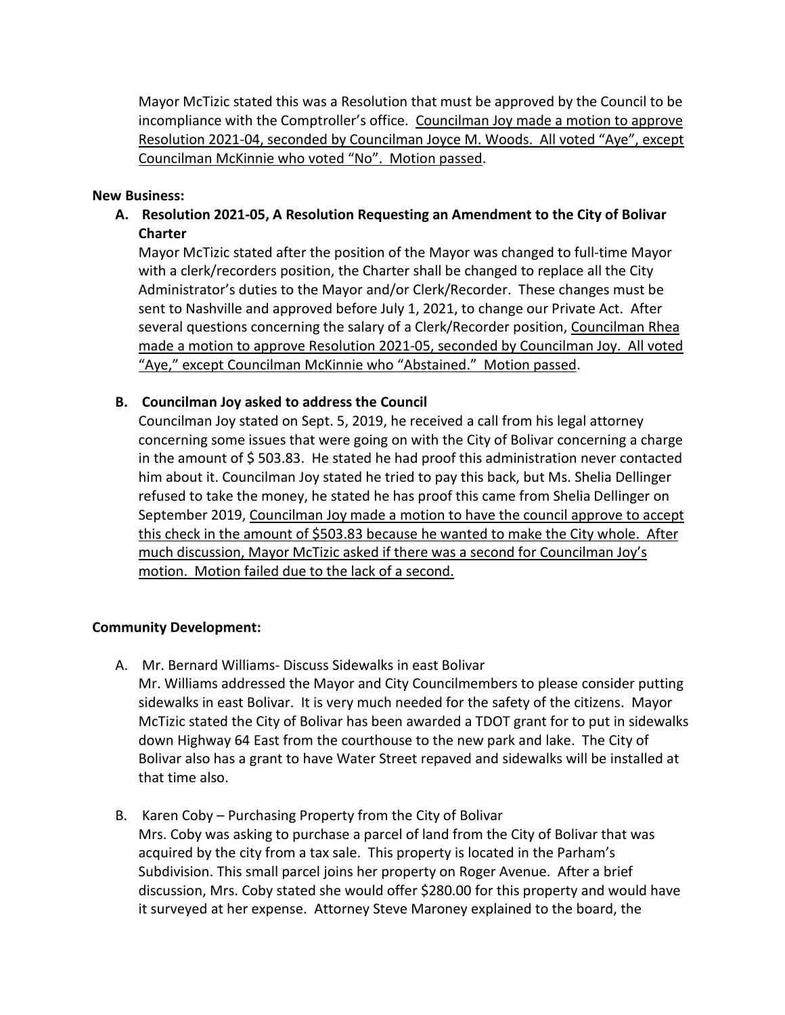Mayor McTizic stated this was a Resolution that must be approved by the Council to be incompliance with the Comptroller's office. Councilman Joy made a motion to approve Resolution 2021-04, seconded by Councilman Joyce M. Woods. All voted "Aye", except Councilman McKinnie who voted "No". Motion passed.

#### **New Business:**

**A. Resolution 2021-05, A Resolution Requesting an Amendment to the City of Bolivar Charter**

Mayor McTizic stated after the position of the Mayor was changed to full-time Mayor with a clerk/recorders position, the Charter shall be changed to replace all the City Administrator's duties to the Mayor and/or Clerk/Recorder. These changes must be sent to Nashville and approved before July 1, 2021, to change our Private Act. After several questions concerning the salary of a Clerk/Recorder position, Councilman Rhea made a motion to approve Resolution 2021-05, seconded by Councilman Joy. All voted "Aye," except Councilman McKinnie who "Abstained." Motion passed.

## **B. Councilman Joy asked to address the Council**

Councilman Joy stated on Sept. 5, 2019, he received a call from his legal attorney concerning some issues that were going on with the City of Bolivar concerning a charge in the amount of \$ 503.83. He stated he had proof this administration never contacted him about it. Councilman Joy stated he tried to pay this back, but Ms. Shelia Dellinger refused to take the money, he stated he has proof this came from Shelia Dellinger on September 2019, Councilman Joy made a motion to have the council approve to accept this check in the amount of \$503.83 because he wanted to make the City whole. After much discussion, Mayor McTizic asked if there was a second for Councilman Joy's motion. Motion failed due to the lack of a second.

## **Community Development:**

- A. Mr. Bernard Williams- Discuss Sidewalks in east Bolivar Mr. Williams addressed the Mayor and City Councilmembers to please consider putting sidewalks in east Bolivar. It is very much needed for the safety of the citizens. Mayor McTizic stated the City of Bolivar has been awarded a TDOT grant for to put in sidewalks down Highway 64 East from the courthouse to the new park and lake. The City of Bolivar also has a grant to have Water Street repaved and sidewalks will be installed at that time also.
- B. Karen Coby Purchasing Property from the City of Bolivar Mrs. Coby was asking to purchase a parcel of land from the City of Bolivar that was acquired by the city from a tax sale. This property is located in the Parham's Subdivision. This small parcel joins her property on Roger Avenue. After a brief discussion, Mrs. Coby stated she would offer \$280.00 for this property and would have it surveyed at her expense. Attorney Steve Maroney explained to the board, the